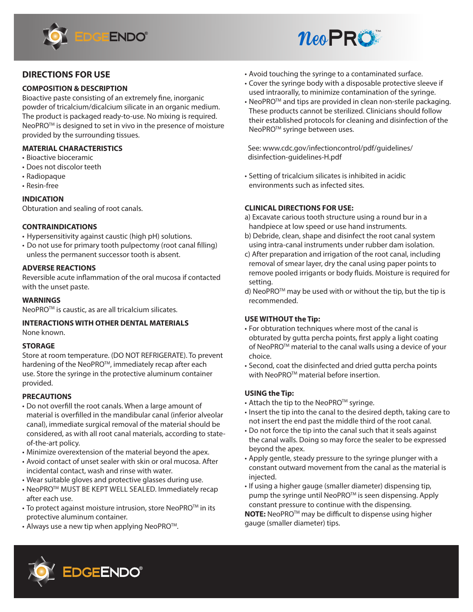



# **DIRECTIONS FOR USE**

## **COMPOSITION & DESCRIPTION**

Bioactive paste consisting of an extremely fine, inorganic powder of tricalcium/dicalcium silicate in an organic medium. The product is packaged ready-to-use. No mixing is required. NeoPRO<sup>™</sup> is designed to set in vivo in the presence of moisture provided by the surrounding tissues.

## **MATERIAL CHARACTERISTICS**

- Bioactive bioceramic
- Does not discolor teeth
- Radiopaque
- Resin-free

## **INDICATION**

Obturation and sealing of root canals.

## **CONTRAINDICATIONS**

- Hypersensitivity against caustic (high pH) solutions.
- Do not use for primary tooth pulpectomy (root canal filling) unless the permanent successor tooth is absent.

## **ADVERSE REACTIONS**

Reversible acute inflammation of the oral mucosa if contacted with the unset paste.

## **WARNINGS**

NeoPRO<sup>™</sup> is caustic, as are all tricalcium silicates.

### **INTERACTIONS WITH OTHER DENTAL MATERIALS** None known.

### **STORAGE**

Store at room temperature. (DO NOT REFRIGERATE). To prevent hardening of the NeoPRO<sup>™</sup>, immediately recap after each use. Store the syringe in the protective aluminum container provided.

## **PRECAUTIONS**

- Do not overfill the root canals. When a large amount of material is overfilled in the mandibular canal (inferior alveolar canal), immediate surgical removal of the material should be considered, as with all root canal materials, according to stateof-the-art policy.
- Minimize overextension of the material beyond the apex.
- Avoid contact of unset sealer with skin or oral mucosa. After incidental contact, wash and rinse with water.
- Wear suitable gloves and protective glasses during use.
- NeoPROTM MUST BE KEPT WELL SEALED. Immediately recap after each use.
- To protect against moisture intrusion, store NeoPRO<sup>TM</sup> in its protective aluminum container.
- Always use a new tip when applying NeoPRO<sup>TM</sup>.
- Avoid touching the syringe to a contaminated surface.
- Cover the syringe body with a disposable protective sleeve if used intraorally, to minimize contamination of the syringe.
- NeoPRO<sup>TM</sup> and tips are provided in clean non-sterile packaging. These products cannot be sterilized. Clinicians should follow their established protocols for cleaning and disinfection of the NeoPRO<sup>™</sup> syringe between uses.

 See: www.cdc.gov/infectioncontrol/pdf/guidelines/ disinfection-guidelines-H.pdf

• Setting of tricalcium silicates is inhibited in acidic environments such as infected sites.

## **CLINICAL DIRECTIONS FOR USE:**

- a) Excavate carious tooth structure using a round bur in a handpiece at low speed or use hand instruments.
- b) Debride, clean, shape and disinfect the root canal system using intra-canal instruments under rubber dam isolation.
- c) After preparation and irrigation of the root canal, including removal of smear layer, dry the canal using paper points to remove pooled irrigants or body fluids. Moisture is required for setting.
- d) NeoPRO™ may be used with or without the tip, but the tip is recommended.

## **USE WITHOUT the Tip:**

- For obturation techniques where most of the canal is obturated by gutta percha points, first apply a light coating of NeoPRO™ material to the canal walls using a device of your choice.
- Second, coat the disinfected and dried gutta percha points with NeoPRO™ material before insertion.

## **USING the Tip:**

- Attach the tip to the NeoPRO™ syringe.
- Insert the tip into the canal to the desired depth, taking care to not insert the end past the middle third of the root canal.
- Do not force the tip into the canal such that it seals against the canal walls. Doing so may force the sealer to be expressed beyond the apex.
- Apply gentle, steady pressure to the syringe plunger with a constant outward movement from the canal as the material is injected.
- If using a higher gauge (smaller diameter) dispensing tip, pump the syringe until NeoPRO<sup>™</sup> is seen dispensing. Apply constant pressure to continue with the dispensing. **NOTE:** NeoPRO™ may be difficult to dispense using higher gauge (smaller diameter) tips.